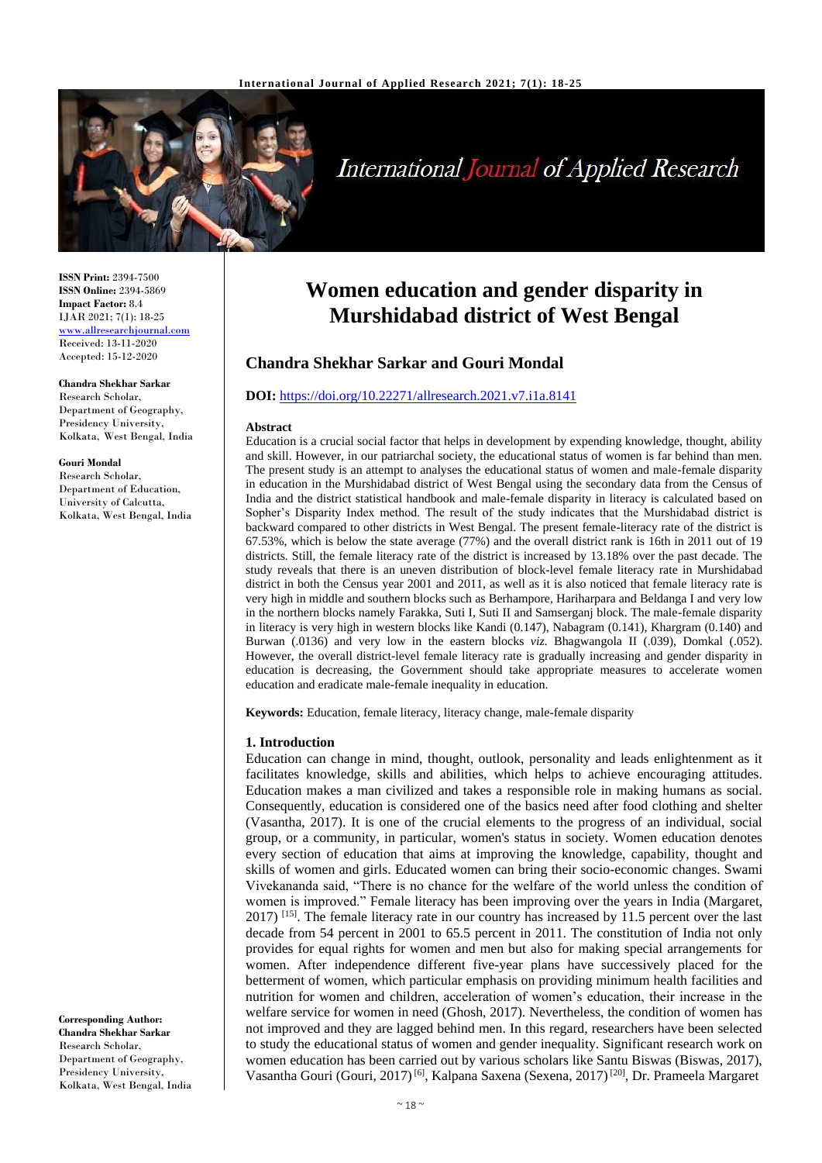

# **International Journal of Applied Research**

**ISSN Print:** 2394-7500 **ISSN Online:** 2394-5869 **Impact Factor:** 8.4 IJAR 2021; 7(1): 18-25 <www.allresearchjournal.com> Received: 13-11-2020 Accepted: 15-12-2020

## **Chandra Shekhar Sarkar**

Research Scholar, Department of Geography, Presidency University, Kolkata, West Bengal, India

#### **Gouri Mondal**

Research Scholar, Department of Education, University of Calcutta, Kolkata, West Bengal, India

**Corresponding Author: Chandra Shekhar Sarkar** Research Scholar, Department of Geography, Presidency University, Kolkata, West Bengal, India

## **Women education and gender disparity in Murshidabad district of West Bengal**

## **Chandra Shekhar Sarkar and Gouri Mondal**

#### **DOI:** <https://doi.org/10.22271/allresearch.2021.v7.i1a.8141>

#### **Abstract**

Education is a crucial social factor that helps in development by expending knowledge, thought, ability and skill. However, in our patriarchal society, the educational status of women is far behind than men. The present study is an attempt to analyses the educational status of women and male-female disparity in education in the Murshidabad district of West Bengal using the secondary data from the Census of India and the district statistical handbook and male-female disparity in literacy is calculated based on Sopher's Disparity Index method. The result of the study indicates that the Murshidabad district is backward compared to other districts in West Bengal. The present female-literacy rate of the district is 67.53%, which is below the state average (77%) and the overall district rank is 16th in 2011 out of 19 districts. Still, the female literacy rate of the district is increased by 13.18% over the past decade. The study reveals that there is an uneven distribution of block-level female literacy rate in Murshidabad district in both the Census year 2001 and 2011, as well as it is also noticed that female literacy rate is very high in middle and southern blocks such as Berhampore, Hariharpara and Beldanga I and very low in the northern blocks namely Farakka, Suti I, Suti II and Samserganj block. The male-female disparity in literacy is very high in western blocks like Kandi (0.147), Nabagram (0.141), Khargram (0.140) and Burwan (.0136) and very low in the eastern blocks *viz*. Bhagwangola II (.039), Domkal (.052). However, the overall district-level female literacy rate is gradually increasing and gender disparity in education is decreasing, the Government should take appropriate measures to accelerate women education and eradicate male-female inequality in education.

**Keywords:** Education, female literacy, literacy change, male-female disparity

#### **1. Introduction**

Education can change in mind, thought, outlook, personality and leads enlightenment as it facilitates knowledge, skills and abilities, which helps to achieve encouraging attitudes. Education makes a man civilized and takes a responsible role in making humans as social. Consequently, education is considered one of the basics need after food clothing and shelter (Vasantha, 2017). It is one of the crucial elements to the progress of an individual, social group, or a community, in particular, women's status in society. Women education denotes every section of education that aims at improving the knowledge, capability, thought and skills of women and girls. Educated women can bring their socio-economic changes. Swami Vivekananda said, "There is no chance for the welfare of the world unless the condition of women is improved." Female literacy has been improving over the years in India (Margaret, 2017) [15]. The female literacy rate in our country has increased by 11.5 percent over the last decade from 54 percent in 2001 to 65.5 percent in 2011. The constitution of India not only provides for equal rights for women and men but also for making special arrangements for women. After independence different five-year plans have successively placed for the betterment of women, which particular emphasis on providing minimum health facilities and nutrition for women and children, acceleration of women's education, their increase in the welfare service for women in need (Ghosh, 2017). Nevertheless, the condition of women has not improved and they are lagged behind men. In this regard, researchers have been selected to study the educational status of women and gender inequality. Significant research work on women education has been carried out by various scholars like Santu Biswas (Biswas, 2017), Vasantha Gouri (Gouri, 2017)<sup>[6]</sup>, Kalpana Saxena (Sexena, 2017)<sup>[20]</sup>, Dr. Prameela Margaret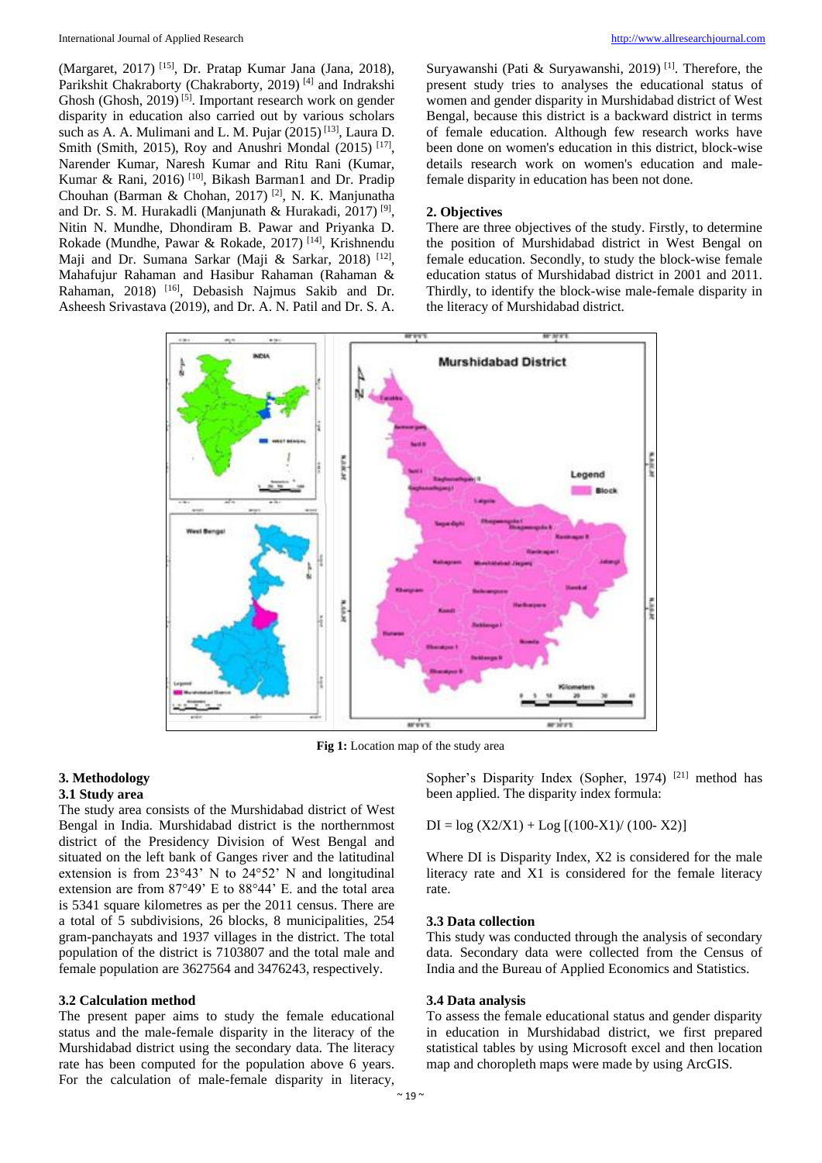(Margaret, 2017) [15], Dr. Pratap Kumar Jana (Jana, 2018), Parikshit Chakraborty (Chakraborty, 2019)<sup>[4]</sup> and Indrakshi Ghosh (Ghosh, 2019)<sup>[5]</sup>. Important research work on gender disparity in education also carried out by various scholars such as A. A. Mulimani and L. M. Pujar (2015)<sup>[13]</sup>, Laura D. Smith (Smith, 2015), Roy and Anushri Mondal (2015)<sup>[17]</sup>, Narender Kumar, Naresh Kumar and Ritu Rani (Kumar, Kumar & Rani, 2016) [10], Bikash Barman1 and Dr. Pradip Chouhan (Barman & Chohan, 2017) [2], N. K. Manjunatha and Dr. S. M. Hurakadli (Manjunath & Hurakadi, 2017)<sup>[9]</sup>, Nitin N. Mundhe, Dhondiram B. Pawar and Priyanka D. Rokade (Mundhe, Pawar & Rokade, 2017) [14], Krishnendu Maji and Dr. Sumana Sarkar (Maji & Sarkar, 2018)<sup>[12]</sup>, Mahafujur Rahaman and Hasibur Rahaman (Rahaman & Rahaman, 2018) [16], Debasish Najmus Sakib and Dr. Asheesh Srivastava (2019), and Dr. A. N. Patil and Dr. S. A.

Suryawanshi (Pati & Suryawanshi, 2019) [1]. Therefore, the present study tries to analyses the educational status of women and gender disparity in Murshidabad district of West Bengal, because this district is a backward district in terms of female education. Although few research works have been done on women's education in this district, block-wise details research work on women's education and malefemale disparity in education has been not done.

#### **2. Objectives**

There are three objectives of the study. Firstly, to determine the position of Murshidabad district in West Bengal on female education. Secondly, to study the block-wise female education status of Murshidabad district in 2001 and 2011. Thirdly, to identify the block-wise male-female disparity in the literacy of Murshidabad district.



**Fig 1:** Location map of the study area

## **3. Methodology**

## **3.1 Study area**

The study area consists of the Murshidabad district of West Bengal in India. Murshidabad district is the northernmost district of the Presidency Division of West Bengal and situated on the left bank of Ganges river and the latitudinal extension is from 23°43' N to 24°52' N and longitudinal extension are from 87°49' E to 88°44' E. and the total area is 5341 square kilometres as per the 2011 census. There are a total of 5 subdivisions, 26 blocks, 8 municipalities, 254 gram-panchayats and 1937 villages in the district. The total population of the district is 7103807 and the total male and female population are 3627564 and 3476243, respectively.

#### **3.2 Calculation method**

The present paper aims to study the female educational status and the male-female disparity in the literacy of the Murshidabad district using the secondary data. The literacy rate has been computed for the population above 6 years. For the calculation of male-female disparity in literacy,

Sopher's Disparity Index (Sopher, 1974)<sup>[21]</sup> method has been applied. The disparity index formula:

$$
DI = log (X2/X1) + Log [(100-X1)/(100-X2)]
$$

Where DI is Disparity Index, X2 is considered for the male literacy rate and X1 is considered for the female literacy rate.

#### **3.3 Data collection**

This study was conducted through the analysis of secondary data. Secondary data were collected from the Census of India and the Bureau of Applied Economics and Statistics.

#### **3.4 Data analysis**

To assess the female educational status and gender disparity in education in Murshidabad district, we first prepared statistical tables by using Microsoft excel and then location map and choropleth maps were made by using ArcGIS.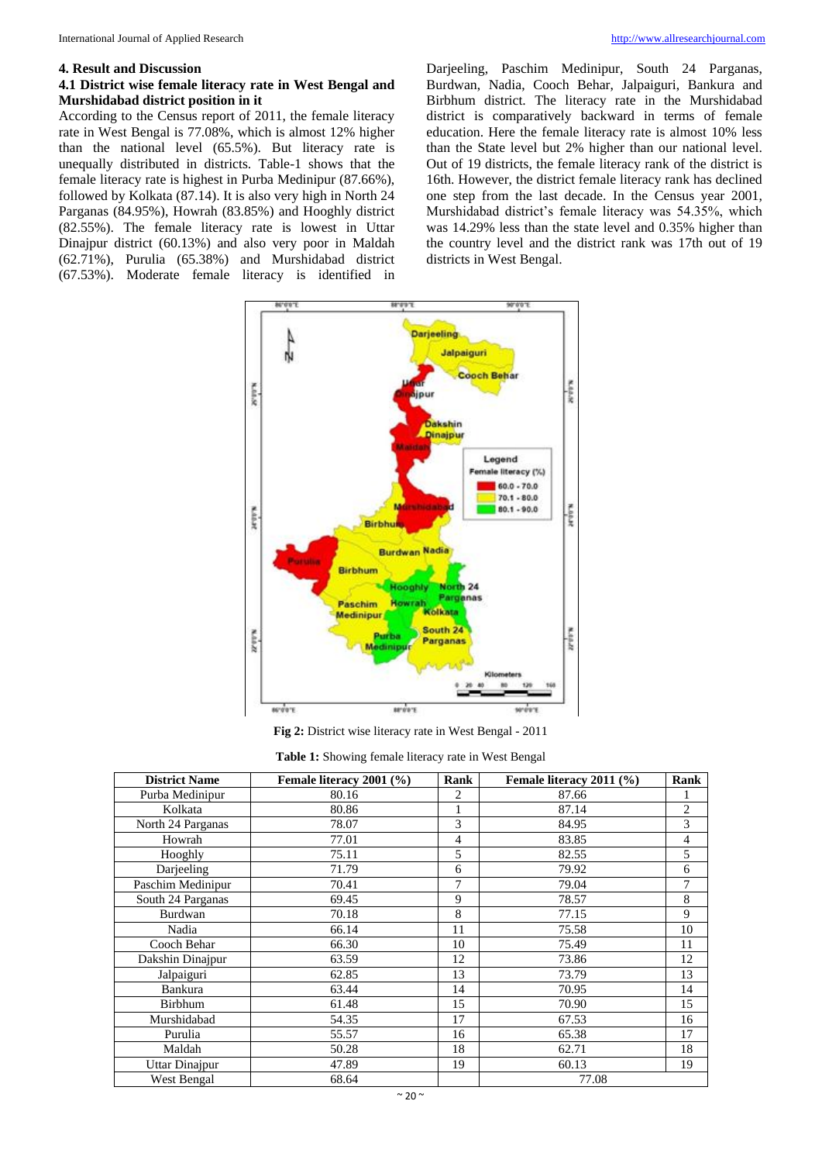#### **4. Result and Discussion**

## **4.1 District wise female literacy rate in West Bengal and Murshidabad district position in it**

According to the Census report of 2011, the female literacy rate in West Bengal is 77.08%, which is almost 12% higher than the national level (65.5%). But literacy rate is unequally distributed in districts. Table-1 shows that the female literacy rate is highest in Purba Medinipur (87.66%), followed by Kolkata (87.14). It is also very high in North 24 Parganas (84.95%), Howrah (83.85%) and Hooghly district (82.55%). The female literacy rate is lowest in Uttar Dinajpur district (60.13%) and also very poor in Maldah (62.71%), Purulia (65.38%) and Murshidabad district (67.53%). Moderate female literacy is identified in Darjeeling, Paschim Medinipur, South 24 Parganas, Burdwan, Nadia, Cooch Behar, Jalpaiguri, Bankura and Birbhum district. The literacy rate in the Murshidabad district is comparatively backward in terms of female education. Here the female literacy rate is almost 10% less than the State level but 2% higher than our national level. Out of 19 districts, the female literacy rank of the district is 16th. However, the district female literacy rank has declined one step from the last decade. In the Census year 2001, Murshidabad district's female literacy was 54.35%, which was 14.29% less than the state level and 0.35% higher than the country level and the district rank was 17th out of 19 districts in West Bengal.



**Fig 2:** District wise literacy rate in West Bengal - 2011

|  | Table 1: Showing female literacy rate in West Bengal |  |
|--|------------------------------------------------------|--|
|--|------------------------------------------------------|--|

| <b>District Name</b> | Female literacy 2001 (%) | Rank | Female literacy 2011 (%) | Rank           |
|----------------------|--------------------------|------|--------------------------|----------------|
| Purba Medinipur      | 80.16                    | 2    | 87.66                    |                |
| Kolkata              | 80.86                    | 1    | 87.14                    | $\overline{c}$ |
| North 24 Parganas    | 78.07                    | 3    | 84.95                    | 3              |
| Howrah               | 77.01                    | 4    | 83.85                    | $\overline{4}$ |
| Hooghly              | 75.11                    | 5    | 82.55                    | 5              |
| Darjeeling           | 71.79                    | 6    | 79.92                    | 6              |
| Paschim Medinipur    | 70.41                    | 7    | 79.04                    | 7              |
| South 24 Parganas    | 69.45                    | 9    | 78.57                    | 8              |
| Burdwan              | 70.18                    | 8    | 77.15                    | 9              |
| Nadia                | 66.14                    | 11   | 75.58                    | 10             |
| Cooch Behar          | 66.30                    | 10   | 75.49                    | 11             |
| Dakshin Dinajpur     | 63.59                    | 12   | 73.86                    | 12             |
| Jalpaiguri           | 62.85                    | 13   | 73.79                    | 13             |
| Bankura              | 63.44                    | 14   | 70.95                    | 14             |
| Birbhum              | 61.48                    | 15   | 70.90                    | 15             |
| Murshidabad          | 54.35                    | 17   | 67.53                    | 16             |
| Purulia              | 55.57                    | 16   | 65.38                    | 17             |
| Maldah               | 50.28                    | 18   | 62.71                    | 18             |
| Uttar Dinajpur       | 47.89                    | 19   | 60.13                    | 19             |
| West Bengal          | 68.64                    |      | 77.08                    |                |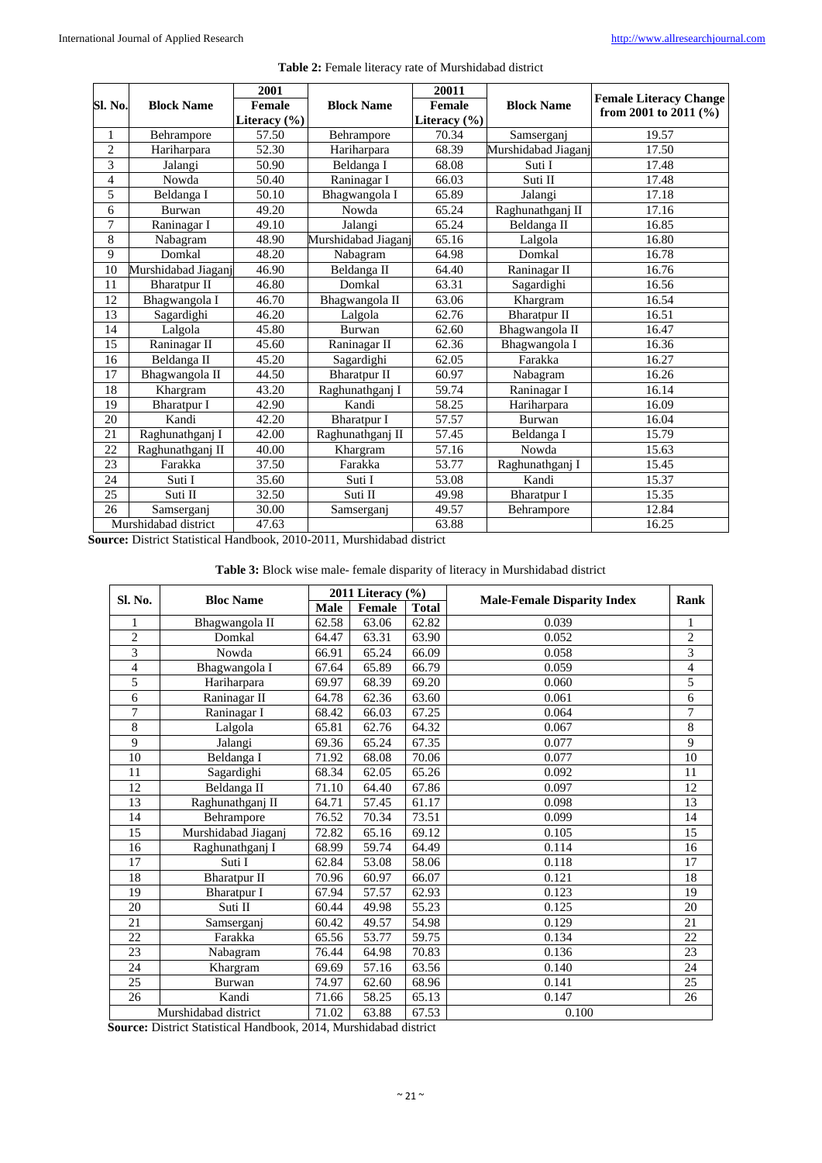|                         | <b>Block Name</b>    | 2001                               |                     | 20011            |                     |                               |  |
|-------------------------|----------------------|------------------------------------|---------------------|------------------|---------------------|-------------------------------|--|
| Sl. No.                 |                      | <b>Block Name</b><br><b>Female</b> |                     | Female           | <b>Block Name</b>   | <b>Female Literacy Change</b> |  |
|                         |                      | Literacy (%)                       |                     | Literacy $(\% )$ |                     | from 2001 to 2011 $(\% )$     |  |
| 1                       | Behrampore           | 57.50                              | Behrampore          | 70.34            | Samserganj          | 19.57                         |  |
| $\overline{c}$          | Hariharpara          | 52.30                              | Hariharpara         | 68.39            | Murshidabad Jiaganj | 17.50                         |  |
| $\overline{\mathbf{3}}$ | Jalangi              | 50.90                              | Beldanga I          | 68.08            | Suti I              | 17.48                         |  |
| $\overline{4}$          | Nowda                | 50.40                              | Raninagar I         | 66.03            | Suti II             | 17.48                         |  |
| 5                       | Beldanga I           | 50.10                              | Bhagwangola I       | 65.89            | Jalangi             | 17.18                         |  |
| 6                       | Burwan               | 49.20                              | Nowda               | 65.24            | Raghunathganj II    | 17.16                         |  |
| $\overline{7}$          | Raninagar I          | 49.10                              | Jalangi             | 65.24            | Beldanga II         | 16.85                         |  |
| 8                       | Nabagram             | 48.90                              | Murshidabad Jiaganj | 65.16            | Lalgola             | 16.80                         |  |
| 9                       | Domkal               | 48.20                              | Nabagram            | 64.98            | Domkal              | 16.78                         |  |
| 10                      | Murshidabad Jiaganj  | 46.90                              | Beldanga II         | 64.40            | Raninagar II        | 16.76                         |  |
| 11                      | <b>Bharatpur II</b>  | 46.80                              | Domkal              | 63.31            | Sagardighi          | 16.56                         |  |
| 12                      | Bhagwangola I        | 46.70                              | Bhagwangola II      | 63.06            | Khargram            | 16.54                         |  |
| 13                      | Sagardighi           | 46.20                              | Lalgola             | 62.76            | <b>Bharatpur II</b> | 16.51                         |  |
| 14                      | Lalgola              | 45.80                              | Burwan              | 62.60            | Bhagwangola II      | 16.47                         |  |
| 15                      | Raninagar II         | 45.60                              | Raninagar II        | 62.36            | Bhagwangola I       | 16.36                         |  |
| 16                      | Beldanga II          | 45.20                              | Sagardighi          | 62.05            | Farakka             | 16.27                         |  |
| 17                      | Bhagwangola II       | 44.50                              | <b>Bharatpur II</b> | 60.97            | Nabagram            | 16.26                         |  |
| 18                      | Khargram             | 43.20                              | Raghunathganj I     | 59.74            | Raninagar I         | 16.14                         |  |
| 19                      | <b>Bharatpur I</b>   | 42.90                              | Kandi               | 58.25            | Hariharpara         | 16.09                         |  |
| 20                      | Kandi                | 42.20                              | <b>Bharatpur I</b>  | 57.57            | Burwan              | 16.04                         |  |
| 21                      | Raghunathganj I      | 42.00                              | Raghunathganj II    | 57.45            | Beldanga I          | 15.79                         |  |
| 22                      | Raghunathganj II     | 40.00                              | Khargram            | 57.16            | Nowda               | 15.63                         |  |
| 23                      | Farakka              | 37.50                              | Farakka             | 53.77            | Raghunathganj I     | 15.45                         |  |
| 24                      | Suti I               | 35.60                              | Suti I              | 53.08            | Kandi               | 15.37                         |  |
| 25                      | Suti II              | 32.50                              | Suti II             | 49.98            | <b>Bharatpur I</b>  | 15.35                         |  |
| 26                      | Samserganj           | 30.00                              | Samserganj          | 49.57            | Behrampore          | 12.84                         |  |
|                         | Murshidabad district | 47.63                              |                     | 63.88            |                     | 16.25                         |  |

#### **Table 2:** Female literacy rate of Murshidabad district

**Source:** District Statistical Handbook, 2010-2011, Murshidabad district

#### **Table 3:** Block wise male- female disparity of literacy in Murshidabad district

|                          |                      | 2011 Literacy $(\% )$ |        |              |                                    |                 |
|--------------------------|----------------------|-----------------------|--------|--------------|------------------------------------|-----------------|
| Sl. No.                  | <b>Bloc Name</b>     | <b>Male</b>           | Female | <b>Total</b> | <b>Male-Female Disparity Index</b> | Rank            |
| $\mathbf{1}$             | Bhagwangola II       | 62.58                 | 63.06  | 62.82        | 0.039                              | 1               |
| $\overline{c}$           | Domkal               | 64.47                 | 63.31  | 63.90        | 0.052                              | $\overline{c}$  |
| $\overline{3}$           | Nowda                | 66.91                 | 65.24  | 66.09        | 0.058                              | $\overline{3}$  |
| $\overline{\mathcal{L}}$ | Bhagwangola I        | 67.64                 | 65.89  | 66.79        | 0.059                              | $\overline{4}$  |
| 5                        | Hariharpara          | 69.97                 | 68.39  | 69.20        | 0.060                              | 5               |
| 6                        | Raninagar II         | 64.78                 | 62.36  | 63.60        | 0.061                              | 6               |
| 7                        | Raninagar I          | 68.42                 | 66.03  | 67.25        | 0.064                              | 7               |
| 8                        | Lalgola              | 65.81                 | 62.76  | 64.32        | 0.067                              | 8               |
| 9                        | Jalangi              | 69.36                 | 65.24  | 67.35        | 0.077                              | 9               |
| $\overline{10}$          | Beldanga I           | 71.92                 | 68.08  | 70.06        | 0.077                              | 10              |
| 11                       | Sagardighi           | 68.34                 | 62.05  | 65.26        | 0.092                              | 11              |
| 12                       | Beldanga II          | 71.10                 | 64.40  | 67.86        | 0.097                              | 12              |
| 13                       | Raghunathganj II     | 64.71                 | 57.45  | 61.17        | 0.098                              | 13              |
| 14                       | Behrampore           | 76.52                 | 70.34  | 73.51        | 0.099                              | 14              |
| 15                       | Murshidabad Jiaganj  | 72.82                 | 65.16  | 69.12        | 0.105                              | 15              |
| 16                       | Raghunathganj I      | 68.99                 | 59.74  | 64.49        | 0.114                              | 16              |
| 17                       | Suti I               | 62.84                 | 53.08  | 58.06        | 0.118                              | 17              |
| 18                       | <b>Bharatpur II</b>  | 70.96                 | 60.97  | 66.07        | 0.121                              | 18              |
| 19                       | <b>Bharatpur I</b>   | 67.94                 | 57.57  | 62.93        | 0.123                              | 19              |
| 20                       | Suti II              | 60.44                 | 49.98  | 55.23        | 0.125                              | 20              |
| 21                       | Samserganj           | 60.42                 | 49.57  | 54.98        | 0.129                              | $\overline{21}$ |
| 22                       | Farakka              | 65.56                 | 53.77  | 59.75        | 0.134                              | 22              |
| $\overline{23}$          | Nabagram             | 76.44                 | 64.98  | 70.83        | 0.136                              | 23              |
| 24                       | Khargram             | 69.69                 | 57.16  | 63.56        | 0.140                              | 24              |
| $\overline{25}$          | Burwan               | 74.97                 | 62.60  | 68.96        | 0.141                              | 25              |
| 26                       | Kandi                | 71.66                 | 58.25  | 65.13        | 0.147                              | 26              |
|                          | Murshidabad district | 71.02                 | 63.88  | 67.53        | 0.100                              |                 |

**Source:** District Statistical Handbook, 2014, Murshidabad district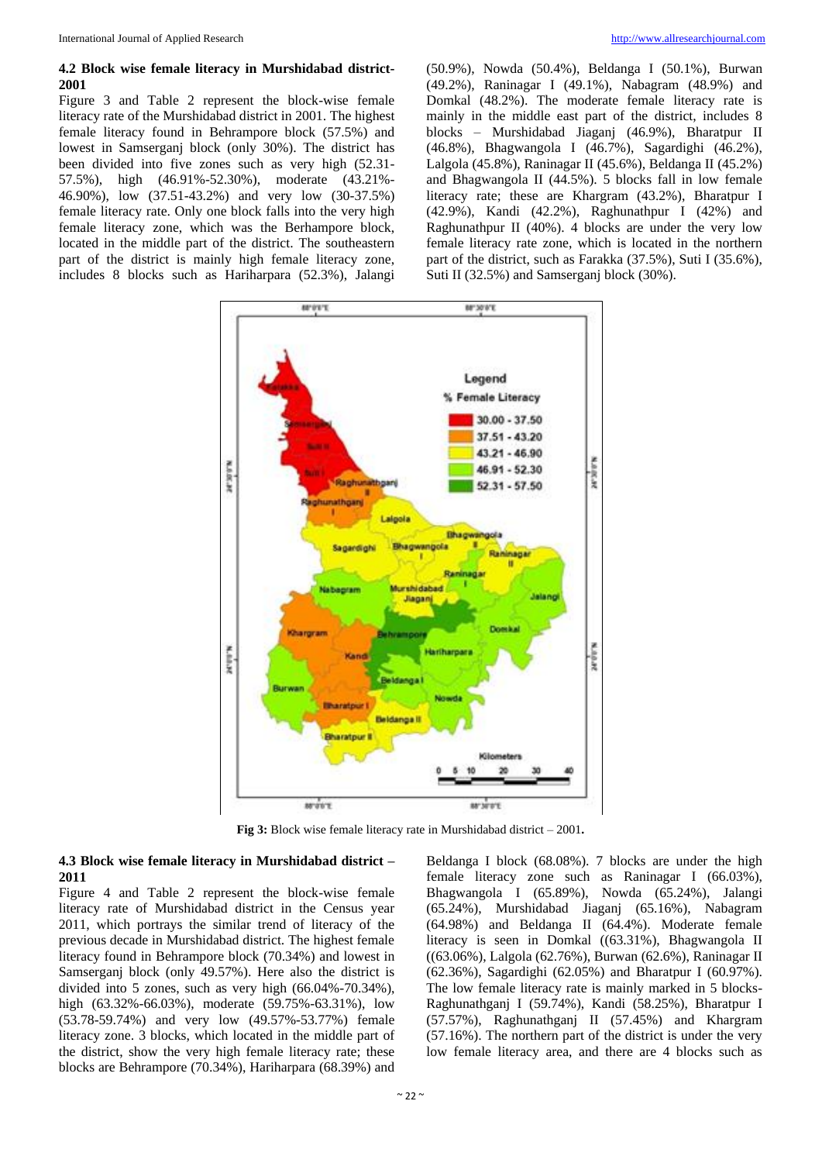#### **4.2 Block wise female literacy in Murshidabad district-2001**

Figure 3 and Table 2 represent the block-wise female literacy rate of the Murshidabad district in 2001. The highest female literacy found in Behrampore block (57.5%) and lowest in Samserganj block (only 30%). The district has been divided into five zones such as very high (52.31- 57.5%), high (46.91%-52.30%), moderate (43.21%- 46.90%), low (37.51-43.2%) and very low (30-37.5%) female literacy rate. Only one block falls into the very high female literacy zone, which was the Berhampore block, located in the middle part of the district. The southeastern part of the district is mainly high female literacy zone, includes 8 blocks such as Hariharpara (52.3%), Jalangi (50.9%), Nowda (50.4%), Beldanga I (50.1%), Burwan (49.2%), Raninagar I (49.1%), Nabagram (48.9%) and Domkal (48.2%). The moderate female literacy rate is mainly in the middle east part of the district, includes 8 blocks – Murshidabad Jiaganj (46.9%), Bharatpur II (46.8%), Bhagwangola I (46.7%), Sagardighi (46.2%), Lalgola (45.8%), Raninagar II (45.6%), Beldanga II (45.2%) and Bhagwangola II (44.5%). 5 blocks fall in low female literacy rate; these are Khargram (43.2%), Bharatpur I (42.9%), Kandi (42.2%), Raghunathpur I (42%) and Raghunathpur II (40%). 4 blocks are under the very low female literacy rate zone, which is located in the northern part of the district, such as Farakka (37.5%), Suti I (35.6%), Suti II (32.5%) and Samserganj block (30%).



**Fig 3:** Block wise female literacy rate in Murshidabad district – 2001**.**

#### **4.3 Block wise female literacy in Murshidabad district – 2011**

Figure 4 and Table 2 represent the block-wise female literacy rate of Murshidabad district in the Census year 2011, which portrays the similar trend of literacy of the previous decade in Murshidabad district. The highest female literacy found in Behrampore block (70.34%) and lowest in Samserganj block (only 49.57%). Here also the district is divided into 5 zones, such as very high (66.04%-70.34%), high (63.32%-66.03%), moderate (59.75%-63.31%), low (53.78-59.74%) and very low (49.57%-53.77%) female literacy zone. 3 blocks, which located in the middle part of the district, show the very high female literacy rate; these blocks are Behrampore (70.34%), Hariharpara (68.39%) and Beldanga I block (68.08%). 7 blocks are under the high female literacy zone such as Raninagar I (66.03%), Bhagwangola I (65.89%), Nowda (65.24%), Jalangi (65.24%), Murshidabad Jiaganj (65.16%), Nabagram (64.98%) and Beldanga II (64.4%). Moderate female literacy is seen in Domkal ((63.31%), Bhagwangola II ((63.06%), Lalgola (62.76%), Burwan (62.6%), Raninagar II (62.36%), Sagardighi (62.05%) and Bharatpur I (60.97%). The low female literacy rate is mainly marked in 5 blocks-Raghunathganj I (59.74%), Kandi (58.25%), Bharatpur I (57.57%), Raghunathganj II (57.45%) and Khargram (57.16%). The northern part of the district is under the very low female literacy area, and there are 4 blocks such as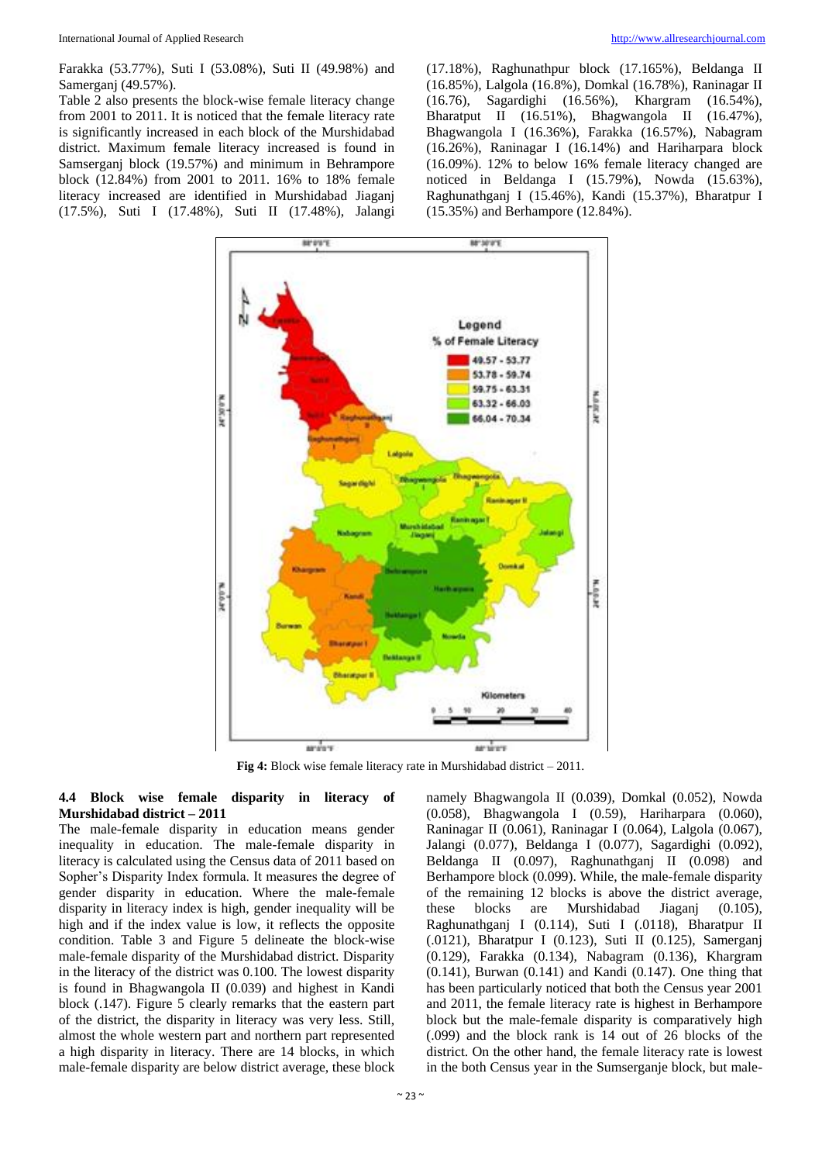Farakka (53.77%), Suti I (53.08%), Suti II (49.98%) and Samerganj (49.57%).

Table 2 also presents the block-wise female literacy change from 2001 to 2011. It is noticed that the female literacy rate is significantly increased in each block of the Murshidabad district. Maximum female literacy increased is found in Samserganj block (19.57%) and minimum in Behrampore block (12.84%) from 2001 to 2011. 16% to 18% female literacy increased are identified in Murshidabad Jiaganj (17.5%), Suti I (17.48%), Suti II (17.48%), Jalangi (17.18%), Raghunathpur block (17.165%), Beldanga II (16.85%), Lalgola (16.8%), Domkal (16.78%), Raninagar II (16.76), Sagardighi (16.56%), Khargram (16.54%), Bharatput II (16.51%), Bhagwangola II (16.47%), Bhagwangola I (16.36%), Farakka (16.57%), Nabagram (16.26%), Raninagar I (16.14%) and Hariharpara block (16.09%). 12% to below 16% female literacy changed are noticed in Beldanga I (15.79%), Nowda (15.63%), Raghunathganj I (15.46%), Kandi (15.37%), Bharatpur I (15.35%) and Berhampore (12.84%).



**Fig 4:** Block wise female literacy rate in Murshidabad district – 2011.

#### **4.4 Block wise female disparity in literacy of Murshidabad district – 2011**

The male-female disparity in education means gender inequality in education. The male-female disparity in literacy is calculated using the Census data of 2011 based on Sopher's Disparity Index formula. It measures the degree of gender disparity in education. Where the male-female disparity in literacy index is high, gender inequality will be high and if the index value is low, it reflects the opposite condition. Table 3 and Figure 5 delineate the block-wise male-female disparity of the Murshidabad district. Disparity in the literacy of the district was 0.100. The lowest disparity is found in Bhagwangola II (0.039) and highest in Kandi block (.147). Figure 5 clearly remarks that the eastern part of the district, the disparity in literacy was very less. Still, almost the whole western part and northern part represented a high disparity in literacy. There are 14 blocks, in which male-female disparity are below district average, these block

namely Bhagwangola II (0.039), Domkal (0.052), Nowda (0.058), Bhagwangola I (0.59), Hariharpara (0.060), Raninagar II (0.061), Raninagar I (0.064), Lalgola (0.067), Jalangi (0.077), Beldanga I (0.077), Sagardighi (0.092), Beldanga II (0.097), Raghunathganj II (0.098) and Berhampore block (0.099). While, the male-female disparity of the remaining 12 blocks is above the district average, these blocks are Murshidabad Jiaganj (0.105), Raghunathganj I (0.114), Suti I (.0118), Bharatpur II (.0121), Bharatpur I (0.123), Suti II (0.125), Samerganj (0.129), Farakka (0.134), Nabagram (0.136), Khargram (0.141), Burwan (0.141) and Kandi (0.147). One thing that has been particularly noticed that both the Census year 2001 and 2011, the female literacy rate is highest in Berhampore block but the male-female disparity is comparatively high (.099) and the block rank is 14 out of 26 blocks of the district. On the other hand, the female literacy rate is lowest in the both Census year in the Sumserganje block, but male-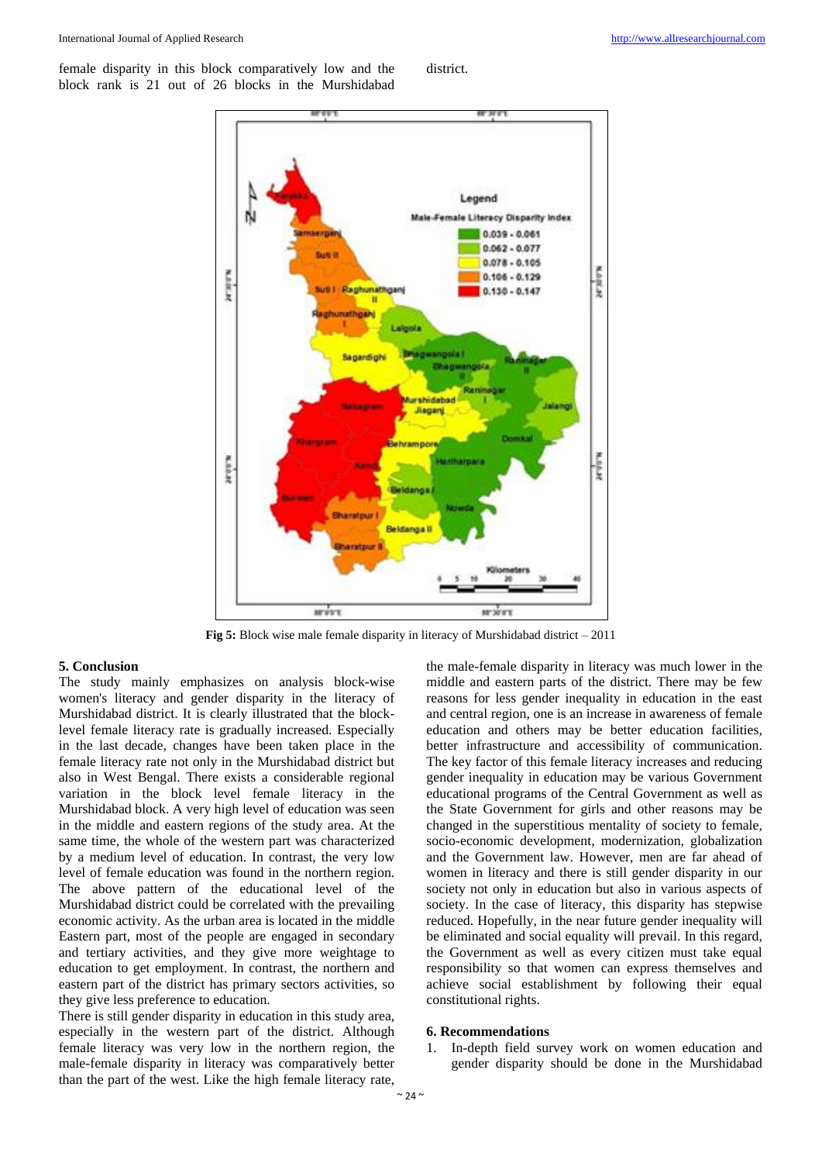female disparity in this block comparatively low and the block rank is 21 out of 26 blocks in the Murshidabad district.



**Fig 5:** Block wise male female disparity in literacy of Murshidabad district – 2011

#### **5. Conclusion**

The study mainly emphasizes on analysis block-wise women's literacy and gender disparity in the literacy of Murshidabad district. It is clearly illustrated that the blocklevel female literacy rate is gradually increased. Especially in the last decade, changes have been taken place in the female literacy rate not only in the Murshidabad district but also in West Bengal. There exists a considerable regional variation in the block level female literacy in the Murshidabad block. A very high level of education was seen in the middle and eastern regions of the study area. At the same time, the whole of the western part was characterized by a medium level of education. In contrast, the very low level of female education was found in the northern region. The above pattern of the educational level of the Murshidabad district could be correlated with the prevailing economic activity. As the urban area is located in the middle Eastern part, most of the people are engaged in secondary and tertiary activities, and they give more weightage to education to get employment. In contrast, the northern and eastern part of the district has primary sectors activities, so they give less preference to education.

There is still gender disparity in education in this study area, especially in the western part of the district. Although female literacy was very low in the northern region, the male-female disparity in literacy was comparatively better than the part of the west. Like the high female literacy rate,

the male-female disparity in literacy was much lower in the middle and eastern parts of the district. There may be few reasons for less gender inequality in education in the east and central region, one is an increase in awareness of female education and others may be better education facilities, better infrastructure and accessibility of communication. The key factor of this female literacy increases and reducing gender inequality in education may be various Government educational programs of the Central Government as well as the State Government for girls and other reasons may be changed in the superstitious mentality of society to female, socio-economic development, modernization, globalization and the Government law. However, men are far ahead of women in literacy and there is still gender disparity in our society not only in education but also in various aspects of society. In the case of literacy, this disparity has stepwise reduced. Hopefully, in the near future gender inequality will be eliminated and social equality will prevail. In this regard, the Government as well as every citizen must take equal responsibility so that women can express themselves and achieve social establishment by following their equal constitutional rights.

#### **6. Recommendations**

1. In-depth field survey work on women education and gender disparity should be done in the Murshidabad